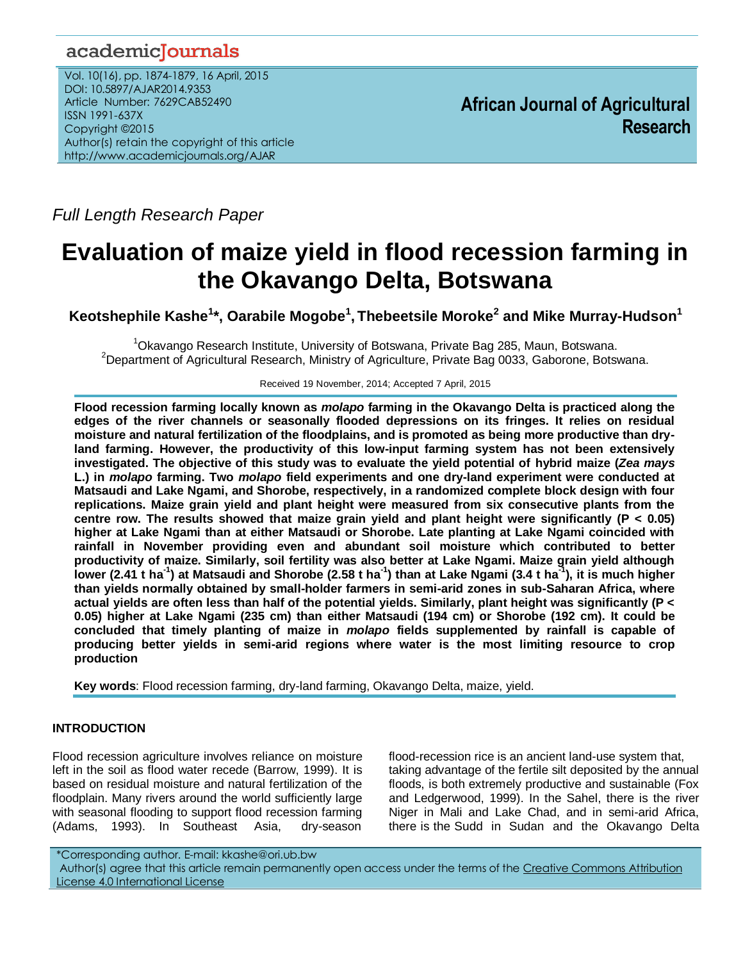# academicJournals

Vol. 10(16), pp. 1874-1879, 16 April, 2015 DOI: 10.5897/AJAR2014.9353 Article Number: 7629CAB52490 ISSN 1991-637X Copyright ©2015 Author(s) retain the copyright of this article http://www.academicjournals.org/AJAR

**African Journal of Agricultural Research**

*Full Length Research Paper*

# **Evaluation of maize yield in flood recession farming in the Okavango Delta, Botswana**

**Keotshephile Kashe<sup>1</sup> \*, Oarabile Mogobe<sup>1</sup> , Thebeetsile Moroke<sup>2</sup> and Mike Murray-Hudson<sup>1</sup>**

<sup>1</sup>Okavango Research Institute, University of Botswana, Private Bag 285, Maun, Botswana.  $2$ Department of Agricultural Research, Ministry of Agriculture, Private Bag 0033, Gaborone, Botswana.

Received 19 November, 2014; Accepted 7 April, 2015

**Flood recession farming locally known as** *molapo* **farming in the Okavango Delta is practiced along the edges of the river channels or seasonally flooded depressions on its fringes. It relies on residual moisture and natural fertilization of the floodplains, and is promoted as being more productive than dryland farming. However, the productivity of this low-input farming system has not been extensively investigated. The objective of this study was to evaluate the yield potential of hybrid maize (***Zea mays* **L.) in** *molapo* **farming. Two** *molapo* **field experiments and one dry-land experiment were conducted at Matsaudi and Lake Ngami, and Shorobe, respectively, in a randomized complete block design with four replications. Maize grain yield and plant height were measured from six consecutive plants from the centre row. The results showed that maize grain yield and plant height were significantly (P < 0.05) higher at Lake Ngami than at either Matsaudi or Shorobe. Late planting at Lake Ngami coincided with rainfall in November providing even and abundant soil moisture which contributed to better productivity of maize. Similarly, soil fertility was also better at Lake Ngami. Maize grain yield although lower (2.41 t ha-1 ) at Matsaudi and Shorobe (2.58 t ha-1 ) than at Lake Ngami (3.4 t ha-1 ), it is much higher than yields normally obtained by small-holder farmers in semi-arid zones in sub-Saharan Africa, where actual yields are often less than half of the potential yields. Similarly, plant height was significantly (P < 0.05) higher at Lake Ngami (235 cm) than either Matsaudi (194 cm) or Shorobe (192 cm). It could be concluded that timely planting of maize in** *molapo* **fields supplemented by rainfall is capable of producing better yields in semi-arid regions where water is the most limiting resource to crop production**

**Key words**: Flood recession farming, dry-land farming, Okavango Delta, maize, yield.

# **INTRODUCTION**

Flood recession agriculture involves reliance on moisture left in the soil as flood water recede (Barrow, 1999). It is based on residual moisture and natural fertilization of the floodplain. Many rivers around the world sufficiently large with seasonal flooding to support flood recession farming (Adams, 1993). In Southeast Asia, dry-season

flood-recession rice is an ancient land-use system that, taking advantage of the fertile silt deposited by the annual floods, is both extremely productive and sustainable (Fox and Ledgerwood, 1999). In the Sahel, there is the river Niger in Mali and Lake Chad, and in semi-arid Africa, there is the Sudd in Sudan and the Okavango Delta

\*Corresponding author. E-mail: kkashe@ori.ub.bw

Author(s) agree that this article remain permanently open access under the terms of the Creative Commons Attribution [License 4.0 International License](http://creativecommons.org/licenses/by/4.0/deed.en_US)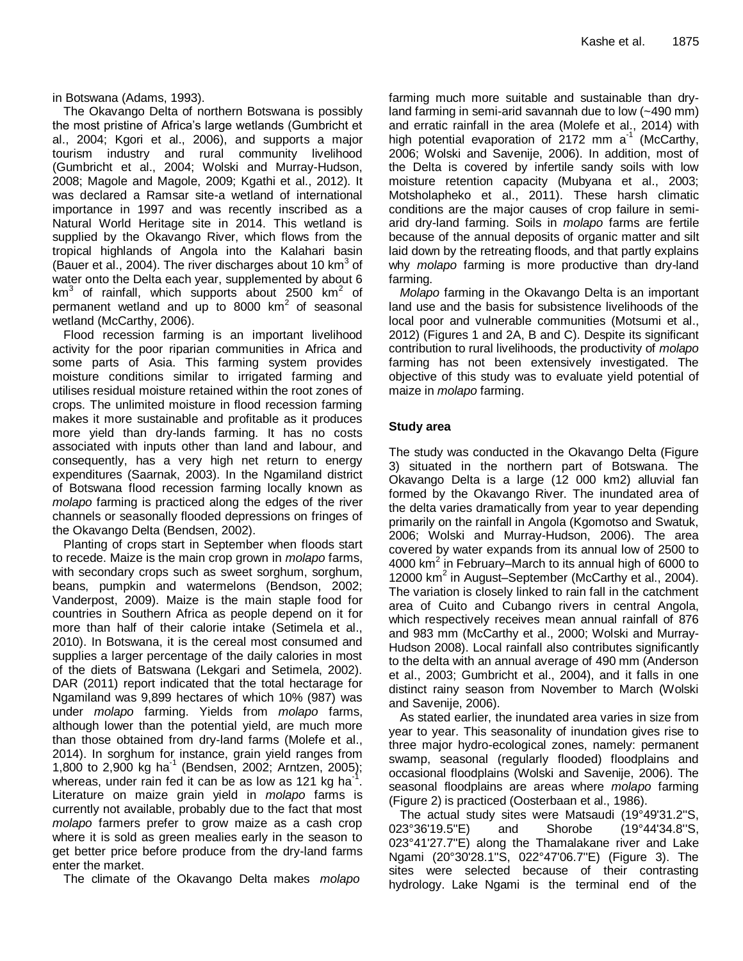in Botswana (Adams, 1993).

The Okavango Delta of northern Botswana is possibly the most pristine of Africa's large wetlands (Gumbricht et al., 2004; Kgori et al., 2006), and supports a major tourism industry and rural community livelihood (Gumbricht et al., 2004; Wolski and Murray-Hudson, 2008; Magole and Magole, 2009; Kgathi et al., 2012). It was declared a Ramsar site-a wetland of international importance in 1997 and was recently inscribed as a Natural World Heritage site in 2014. This wetland is supplied by the Okavango River, which flows from the tropical highlands of Angola into the Kalahari basin (Bauer et al., 2004). The river discharges about 10  $km^3$  of water onto the Delta each year, supplemented by about 6 km<sup>3</sup> of rainfall, which supports about 2500 km<sup>2</sup> of permanent wetland and up to 8000  $km^2$  of seasonal wetland (McCarthy, 2006).

Flood recession farming is an important livelihood activity for the poor riparian communities in Africa and some parts of Asia. This farming system provides moisture conditions similar to irrigated farming and utilises residual moisture retained within the root zones of crops. The unlimited moisture in flood recession farming makes it more sustainable and profitable as it produces more yield than dry-lands farming. It has no costs associated with inputs other than land and labour, and consequently, has a very high net return to energy expenditures (Saarnak, 2003). In the Ngamiland district of Botswana flood recession farming locally known as *molapo* farming is practiced along the edges of the river channels or seasonally flooded depressions on fringes of the Okavango Delta (Bendsen, 2002).

Planting of crops start in September when floods start to recede. Maize is the main crop grown in *molapo* farms, with secondary crops such as sweet sorghum, sorghum, beans, pumpkin and watermelons (Bendson, 2002; Vanderpost, 2009). Maize is the main staple food for countries in Southern Africa as people depend on it for more than half of their calorie intake (Setimela et al., 2010). In Botswana, it is the cereal most consumed and supplies a larger percentage of the daily calories in most of the diets of Batswana (Lekgari and Setimela, 2002). DAR (2011) report indicated that the total hectarage for Ngamiland was 9,899 hectares of which 10% (987) was under *molapo* farming. Yields from *molapo* farms, although lower than the potential yield, are much more than those obtained from dry-land farms (Molefe et al., 2014). In sorghum for instance, grain yield ranges from 1,800 to 2,900 kg ha-1 (Bendsen, 2002; Arntzen, 2005); whereas, under rain fed it can be as low as 121 kg ha<sup>1</sup>. Literature on maize grain yield in *molapo* farms is currently not available, probably due to the fact that most *molapo* farmers prefer to grow maize as a cash crop where it is sold as green mealies early in the season to get better price before produce from the dry-land farms enter the market.

The climate of the Okavango Delta makes *molapo*

farming much more suitable and sustainable than dryland farming in semi-arid savannah due to low (~490 mm) and erratic rainfall in the area (Molefe et al., 2014) with high potential evaporation of  $2172$  mm a<sup>-1</sup> (McCarthy, 2006; Wolski and Savenije, 2006). In addition, most of the Delta is covered by infertile sandy soils with low moisture retention capacity (Mubyana et al., 2003; Motsholapheko et al., 2011). These harsh climatic conditions are the major causes of crop failure in semiarid dry-land farming. Soils in *molapo* farms are fertile because of the annual deposits of organic matter and silt laid down by the retreating floods, and that partly explains why *molapo* farming is more productive than dry-land farming.

*Molapo* farming in the Okavango Delta is an important land use and the basis for subsistence livelihoods of the local poor and vulnerable communities (Motsumi et al., 2012) (Figures 1 and 2A, B and C). Despite its significant contribution to rural livelihoods, the productivity of *molapo* farming has not been extensively investigated. The objective of this study was to evaluate yield potential of maize in *molapo* farming.

# **Study area**

The study was conducted in the Okavango Delta (Figure 3) situated in the northern part of Botswana. The Okavango Delta is a large (12 000 km2) alluvial fan formed by the Okavango River. The inundated area of the delta varies dramatically from year to year depending primarily on the rainfall in Angola (Kgomotso and Swatuk, 2006; Wolski and Murray-Hudson, 2006). The area covered by water expands from its annual low of 2500 to 4000  $km^2$  in February–March to its annual high of 6000 to 12000 km<sup>2</sup> in August-September (McCarthy et al., 2004). The variation is closely linked to rain fall in the catchment area of Cuito and Cubango rivers in central Angola, which respectively receives mean annual rainfall of 876 and 983 mm (McCarthy et al., 2000; Wolski and Murray-Hudson 2008). Local rainfall also contributes significantly to the delta with an annual average of 490 mm (Anderson et al., 2003; Gumbricht et al., 2004), and it falls in one distinct rainy season from November to March (Wolski and Savenije, 2006).

As stated earlier, the inundated area varies in size from year to year. This seasonality of inundation gives rise to three major hydro-ecological zones, namely: permanent swamp, seasonal (regularly flooded) floodplains and occasional floodplains (Wolski and Savenije, 2006). The seasonal floodplains are areas where *molapo* farming (Figure 2) is practiced (Oosterbaan et al., 1986).

The actual study sites were Matsaudi (19°49'31.2''S, 023°36'19.5''E) and Shorobe (19°44'34.8''S, 023°41'27.7''E) along the Thamalakane river and Lake Ngami (20°30'28.1''S, 022°47'06.7''E) (Figure 3). The sites were selected because of their contrasting hydrology. Lake Ngami is the terminal end of the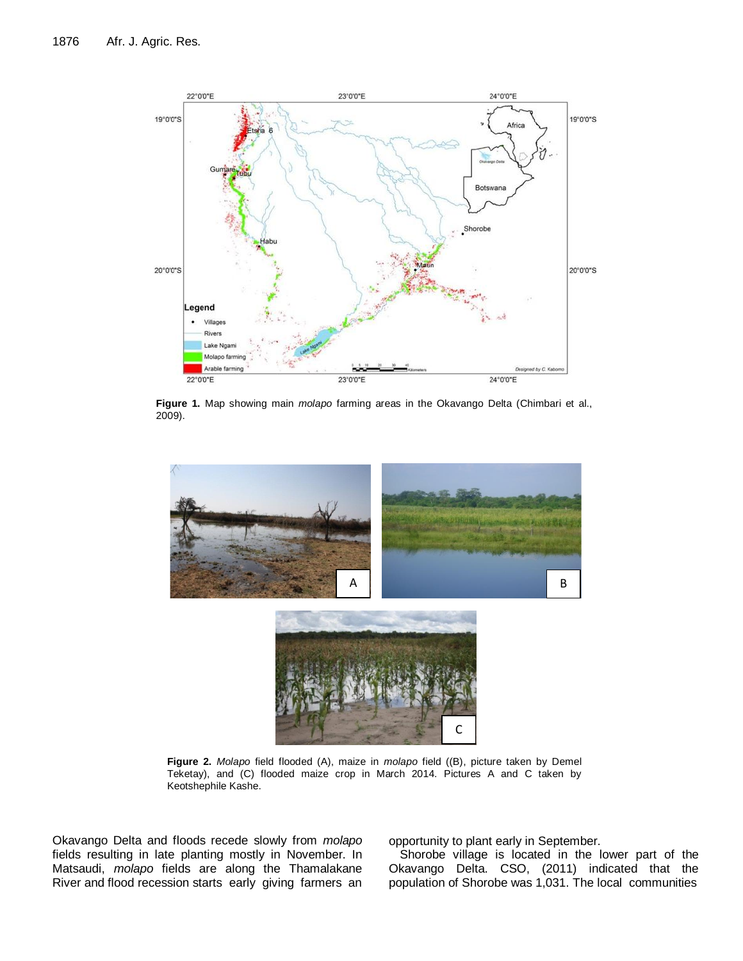

**Figure 1.** Map showing main *molapo* farming areas in the Okavango Delta (Chimbari et al., 2009).



**Figure 2.** *Molapo* field flooded (A), maize in *molapo* field ((B), picture taken by Demel Teketay), and (C) flooded maize crop in March 2014. Pictures A and C taken by Keotshephile Kashe.

Okavango Delta and floods recede slowly from *molapo* fields resulting in late planting mostly in November. In Matsaudi, *molapo* fields are along the Thamalakane River and flood recession starts early giving farmers an opportunity to plant early in September.

Shorobe village is located in the lower part of the Okavango Delta. CSO, (2011) indicated that the population of Shorobe was 1,031. The local communities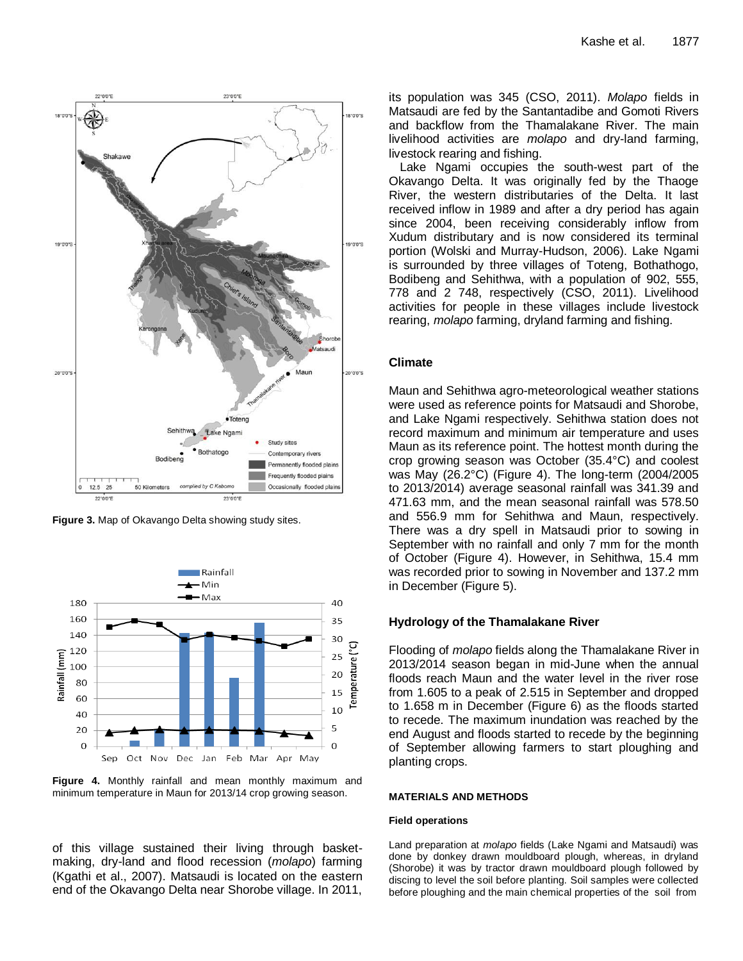

**Figure 3.** Map of Okavango Delta showing study sites.



**Figure 4.** Monthly rainfall and mean monthly maximum and minimum temperature in Maun for 2013/14 crop growing season.

of this village sustained their living through basketmaking, dry-land and flood recession (*molapo*) farming (Kgathi et al., 2007). Matsaudi is located on the eastern end of the Okavango Delta near Shorobe village. In 2011, its population was 345 (CSO, 2011). *Molapo* fields in Matsaudi are fed by the Santantadibe and Gomoti Rivers and backflow from the Thamalakane River. The main livelihood activities are *molapo* and dry-land farming, livestock rearing and fishing.

Lake Ngami occupies the south-west part of the Okavango Delta. It was originally fed by the Thaoge River, the western distributaries of the Delta. It last received inflow in 1989 and after a dry period has again since 2004, been receiving considerably inflow from Xudum distributary and is now considered its terminal portion (Wolski and Murray-Hudson, 2006). Lake Ngami is surrounded by three villages of Toteng, Bothathogo, Bodibeng and Sehithwa, with a population of 902, 555, 778 and 2 748, respectively (CSO, 2011). Livelihood activities for people in these villages include livestock rearing, *molapo* farming, dryland farming and fishing.

# **Climate**

Maun and Sehithwa agro-meteorological weather stations were used as reference points for Matsaudi and Shorobe, and Lake Ngami respectively. Sehithwa station does not record maximum and minimum air temperature and uses Maun as its reference point. The hottest month during the crop growing season was October (35.4°C) and coolest was May (26.2°C) (Figure 4). The long-term (2004/2005 to 2013/2014) average seasonal rainfall was 341.39 and 471.63 mm, and the mean seasonal rainfall was 578.50 and 556.9 mm for Sehithwa and Maun, respectively. There was a dry spell in Matsaudi prior to sowing in September with no rainfall and only 7 mm for the month of October (Figure 4). However, in Sehithwa, 15.4 mm was recorded prior to sowing in November and 137.2 mm in December (Figure 5).

#### **Hydrology of the Thamalakane River**

Flooding of *molapo* fields along the Thamalakane River in 2013/2014 season began in mid-June when the annual floods reach Maun and the water level in the river rose from 1.605 to a peak of 2.515 in September and dropped to 1.658 m in December (Figure 6) as the floods started to recede. The maximum inundation was reached by the end August and floods started to recede by the beginning of September allowing farmers to start ploughing and planting crops.

#### **MATERIALS AND METHODS**

#### **Field operations**

Land preparation at *molapo* fields (Lake Ngami and Matsaudi) was done by donkey drawn mouldboard plough, whereas, in dryland (Shorobe) it was by tractor drawn mouldboard plough followed by discing to level the soil before planting. Soil samples were collected before ploughing and the main chemical properties of the soil from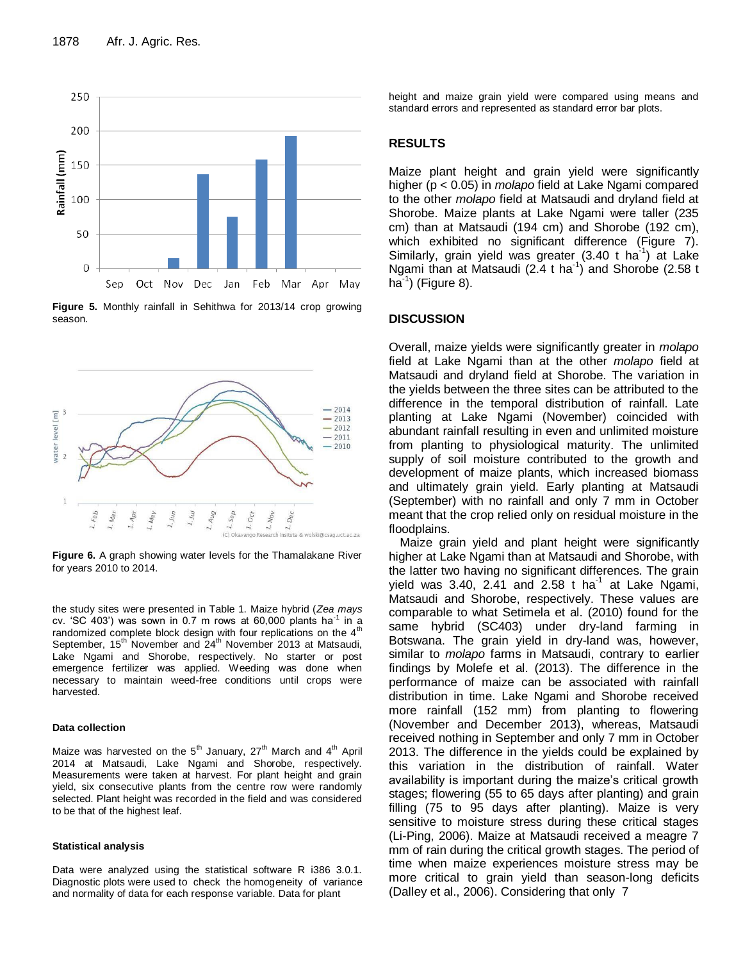

**Figure 5.** Monthly rainfall in Sehithwa for 2013/14 crop growing season.



**Figure 6.** A graph showing water levels for the Thamalakane River for years 2010 to 2014.

the study sites were presented in Table 1. Maize hybrid (*Zea mays* cv. 'SC 403') was sown in 0.7 m rows at 60,000 plants ha<sup>-1</sup> in a randomized complete block design with four replications on the 4<sup>th</sup> September, 15<sup>th</sup> November and 24<sup>th</sup> November 2013 at Matsaudi, Lake Ngami and Shorobe, respectively. No starter or post emergence fertilizer was applied. Weeding was done when necessary to maintain weed-free conditions until crops were harvested.

#### **Data collection**

Maize was harvested on the  $5<sup>th</sup>$  January, 27<sup>th</sup> March and  $4<sup>th</sup>$  April 2014 at Matsaudi, Lake Ngami and Shorobe, respectively. Measurements were taken at harvest. For plant height and grain yield, six consecutive plants from the centre row were randomly selected. Plant height was recorded in the field and was considered to be that of the highest leaf.

#### **Statistical analysis**

Data were analyzed using the statistical software R i386 3.0.1. Diagnostic plots were used to check the homogeneity of variance and normality of data for each response variable. Data for plant

height and maize grain yield were compared using means and standard errors and represented as standard error bar plots.

## **RESULTS**

Maize plant height and grain yield were significantly higher (p < 0.05) in *molapo* field at Lake Ngami compared to the other *molapo* field at Matsaudi and dryland field at Shorobe. Maize plants at Lake Ngami were taller (235 cm) than at Matsaudi (194 cm) and Shorobe (192 cm), which exhibited no significant difference (Figure 7). Similarly, grain yield was greater  $(3.40 \text{ t} \text{ ha}^1)$  at Lake Ngami than at Matsaudi  $(2.4 \text{ t} \text{ ha}^{\text{-}1})$  and Shorobe  $(2.58 \text{ t} \text{ h})$ ha $^{-1}$ ) (Figure 8).

### **DISCUSSION**

Overall, maize yields were significantly greater in *molapo* field at Lake Ngami than at the other *molapo* field at Matsaudi and dryland field at Shorobe. The variation in the yields between the three sites can be attributed to the difference in the temporal distribution of rainfall. Late planting at Lake Ngami (November) coincided with abundant rainfall resulting in even and unlimited moisture from planting to physiological maturity. The unlimited supply of soil moisture contributed to the growth and development of maize plants, which increased biomass and ultimately grain yield. Early planting at Matsaudi (September) with no rainfall and only 7 mm in October meant that the crop relied only on residual moisture in the floodplains.

Maize grain yield and plant height were significantly higher at Lake Ngami than at Matsaudi and Shorobe, with the latter two having no significant differences. The grain yield was 3.40, 2.41 and 2.58 t ha $^{-1}$  at Lake Ngami, Matsaudi and Shorobe, respectively. These values are comparable to what Setimela et al. (2010) found for the same hybrid (SC403) under dry-land farming in Botswana. The grain yield in dry-land was, however, similar to *molapo* farms in Matsaudi, contrary to earlier findings by Molefe et al. (2013). The difference in the performance of maize can be associated with rainfall distribution in time. Lake Ngami and Shorobe received more rainfall (152 mm) from planting to flowering (November and December 2013), whereas, Matsaudi received nothing in September and only 7 mm in October 2013. The difference in the yields could be explained by this variation in the distribution of rainfall. Water availability is important during the maize's critical growth stages; flowering (55 to 65 days after planting) and grain filling (75 to 95 days after planting). Maize is very sensitive to moisture stress during these critical stages (Li-Ping, 2006). Maize at Matsaudi received a meagre 7 mm of rain during the critical growth stages. The period of time when maize experiences moisture stress may be more critical to grain yield than season-long deficits (Dalley et al., 2006). Considering that only 7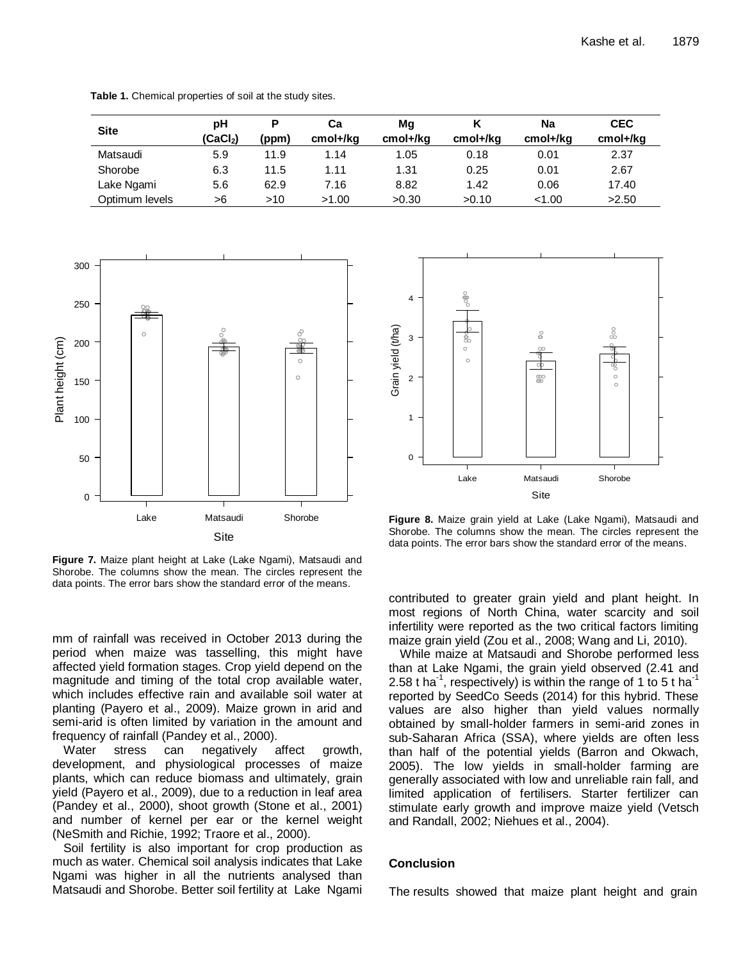**Table 1.** Chemical properties of soil at the study sites.

| <b>Site</b>    | рH                   | P     | Сa       | Mg       |          | Na       | <b>CEC</b> |
|----------------|----------------------|-------|----------|----------|----------|----------|------------|
|                | (CaCl <sub>2</sub> ) | (ppm) | cmol+/kq | cmol+/kq | cmol+/kq | cmol+/kg | cmol+/kq   |
| Matsaudi       | 5.9                  | 11.9  | 1.14     | 1.05     | 0.18     | 0.01     | 2.37       |
| Shorobe        | 6.3                  | 11.5  | 1.11     | 1.31     | 0.25     | 0.01     | 2.67       |
| Lake Ngami     | 5.6                  | 62.9  | 7.16     | 8.82     | 1.42     | 0.06     | 17.40      |
| Optimum levels | >6                   | >10   | >1.00    | >0.30    | >0.10    | < 1.00   | >2.50      |



**Figure 7.** Maize plant height at Lake (Lake Ngami), Matsaudi and Shorobe. The columns show the mean. The circles represent the data points. The error bars show the standard error of the means.

mm of rainfall was received in October 2013 during the period when maize was tasselling, this might have affected yield formation stages. Crop yield depend on the magnitude and timing of the total crop available water, which includes effective rain and available soil water at planting (Payero et al., 2009). Maize grown in arid and semi-arid is often limited by variation in the amount and frequency of rainfall (Pandey et al., 2000).

Water stress can negatively affect growth, development, and physiological processes of maize plants, which can reduce biomass and ultimately, grain yield (Payero et al., 2009), due to a reduction in leaf area (Pandey et al., 2000), shoot growth (Stone et al., 2001) and number of kernel per ear or the kernel weight (NeSmith and Richie, 1992; Traore et al., 2000).

Soil fertility is also important for crop production as much as water. Chemical soil analysis indicates that Lake Ngami was higher in all the nutrients analysed than Matsaudi and Shorobe. Better soil fertility at Lake Ngami



**Figure 8.** Maize grain yield at Lake (Lake Ngami), Matsaudi and Shorobe. The columns show the mean. The circles represent the data points. The error bars show the standard error of the means.

contributed to greater grain yield and plant height. In most regions of North China, water scarcity and soil infertility were reported as the two critical factors limiting maize grain yield (Zou et al., 2008; Wang and Li, 2010).

While maize at Matsaudi and Shorobe performed less than at Lake Ngami, the grain yield observed (2.41 and 2.58 t ha<sup>-1</sup>, respectively) is within the range of 1 to 5 t ha<sup>-1</sup> reported by SeedCo Seeds (2014) for this hybrid. These values are also higher than yield values normally obtained by small-holder farmers in semi-arid zones in sub-Saharan Africa (SSA), where yields are often less than half of the potential yields (Barron and Okwach, 2005). The low yields in small-holder farming are generally associated with low and unreliable rain fall, and limited application of fertilisers. Starter fertilizer can stimulate early growth and improve maize yield (Vetsch and Randall, 2002; Niehues et al., 2004).

# **Conclusion**

The results showed that maize plant height and grain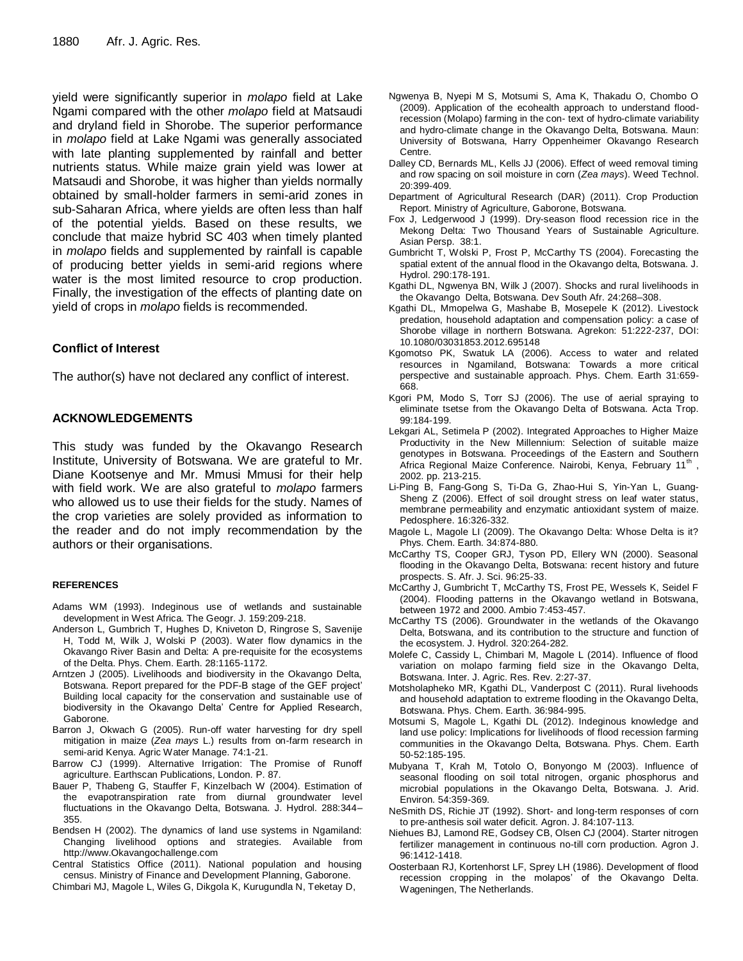yield were significantly superior in *molapo* field at Lake Ngami compared with the other *molapo* field at Matsaudi and dryland field in Shorobe. The superior performance in *molapo* field at Lake Ngami was generally associated with late planting supplemented by rainfall and better nutrients status. While maize grain yield was lower at Matsaudi and Shorobe, it was higher than yields normally obtained by small-holder farmers in semi-arid zones in sub-Saharan Africa, where yields are often less than half of the potential yields. Based on these results, we conclude that maize hybrid SC 403 when timely planted in *molapo* fields and supplemented by rainfall is capable of producing better yields in semi-arid regions where water is the most limited resource to crop production. Finally, the investigation of the effects of planting date on yield of crops in *molapo* fields is recommended.

# **Conflict of Interest**

The author(s) have not declared any conflict of interest.

# **ACKNOWLEDGEMENTS**

This study was funded by the Okavango Research Institute, University of Botswana. We are grateful to Mr. Diane Kootsenye and Mr. Mmusi Mmusi for their help with field work. We are also grateful to *molapo* farmers who allowed us to use their fields for the study. Names of the crop varieties are solely provided as information to the reader and do not imply recommendation by the authors or their organisations.

#### **REFERENCES**

- Adams WM (1993). Indeginous use of wetlands and sustainable development in West Africa. The Geogr. J. 159:209-218.
- Anderson L, Gumbrich T, Hughes D, Kniveton D, Ringrose S, Savenije H, Todd M, Wilk J, Wolski P (2003). Water flow dynamics in the Okavango River Basin and Delta: A pre-requisite for the ecosystems of the Delta. Phys. Chem. Earth. 28:1165-1172.
- Arntzen J (2005). Livelihoods and biodiversity in the Okavango Delta, Botswana. Report prepared for the PDF-B stage of the GEF project' Building local capacity for the conservation and sustainable use of biodiversity in the Okavango Delta' Centre for Applied Research, Gaborone.
- Barron J, Okwach G (2005). Run-off water harvesting for dry spell mitigation in maize (*Zea mays* L.) results from on-farm research in semi-arid Kenya. Agric Water Manage. 74:1-21.
- Barrow CJ (1999). Alternative Irrigation: The Promise of Runoff agriculture. Earthscan Publications, London. P. 87.
- Bauer P, Thabeng G, Stauffer F, Kinzelbach W (2004). Estimation of the evapotranspiration rate from diurnal groundwater level fluctuations in the Okavango Delta, Botswana. J. Hydrol. 288:344– 355.
- Bendsen H (2002). The dynamics of land use systems in Ngamiland: Changing livelihood options and strategies. Available from http://www.Okavangochallenge.com
- Central Statistics Office (2011). National population and housing census. Ministry of Finance and Development Planning, Gaborone.
- Chimbari MJ, Magole L, Wiles G, Dikgola K, Kurugundla N, Teketay D,
- Ngwenya B, Nyepi M S, Motsumi S, Ama K, Thakadu O, Chombo O (2009). Application of the ecohealth approach to understand floodrecession (Molapo) farming in the con- text of hydro-climate variability and hydro-climate change in the Okavango Delta, Botswana. Maun: University of Botswana, Harry Oppenheimer Okavango Research Centre.
- Dalley CD, Bernards ML, Kells JJ (2006). Effect of weed removal timing and row spacing on soil moisture in corn (*Zea mays*). Weed Technol. 20:399-409.
- Department of Agricultural Research (DAR) (2011). Crop Production Report. Ministry of Agriculture, Gaborone, Botswana.
- Fox J, Ledgerwood J (1999). Dry-season flood recession rice in the Mekong Delta: Two Thousand Years of Sustainable Agriculture. Asian Persp. 38:1.
- Gumbricht T, Wolski P, Frost P, McCarthy TS (2004). Forecasting the spatial extent of the annual flood in the Okavango delta, Botswana. J. Hydrol. 290:178-191.
- Kgathi DL, Ngwenya BN, Wilk J (2007)*.* Shocks and rural livelihoods in the Okavango Delta, Botswana. Dev South Afr. 24:268–308.
- Kgathi DL, Mmopelwa G, Mashabe B, Mosepele K (2012). Livestock predation, household adaptation and compensation policy: a case of Shorobe village in northern Botswana. Agrekon: 51:222-237, DOI: 10.1080/03031853.2012.695148
- Kgomotso PK, Swatuk LA (2006). Access to water and related resources in Ngamiland, Botswana: Towards a more critical perspective and sustainable approach. Phys. Chem. Earth 31:659- 668.
- Kgori PM, Modo S, Torr SJ (2006). The use of aerial spraying to eliminate tsetse from the Okavango Delta of Botswana. Acta Trop. 99:184-199.
- Lekgari AL, Setimela P (2002). Integrated Approaches to Higher Maize Productivity in the New Millennium: Selection of suitable maize genotypes in Botswana. Proceedings of the Eastern and Southern Africa Regional Maize Conference. Nairobi, Kenya, February 11<sup>th</sup>, 2002. pp. 213-215.
- Li-Ping B, Fang-Gong S, Ti-Da G, Zhao-Hui S, Yin-Yan L, Guang-Sheng Z (2006). Effect of soil drought stress on leaf water status, membrane permeability and enzymatic antioxidant system of maize. Pedosphere. 16:326-332.
- Magole L, Magole LI (2009). The Okavango Delta: Whose Delta is it? Phys. Chem. Earth. 34:874-880.
- McCarthy TS, Cooper GRJ, Tyson PD, Ellery WN (2000). Seasonal flooding in the Okavango Delta, Botswana: recent history and future prospects. S. Afr. J. Sci. 96:25-33.
- McCarthy J, Gumbricht T, McCarthy TS, Frost PE, Wessels K, Seidel F (2004). Flooding patterns in the Okavango wetland in Botswana, between 1972 and 2000. Ambio 7:453-457.
- McCarthy TS (2006). Groundwater in the wetlands of the Okavango Delta, Botswana, and its contribution to the structure and function of the ecosystem. J. Hydrol. 320:264-282.
- Molefe C, Cassidy L, Chimbari M, Magole L (2014). Influence of flood variation on molapo farming field size in the Okavango Delta, Botswana. Inter. J. Agric. Res. Rev. 2:27-37.
- Motsholapheko MR, Kgathi DL, Vanderpost C (2011). Rural livehoods and household adaptation to extreme flooding in the Okavango Delta, Botswana. Phys. Chem. Earth. 36:984-995.
- Motsumi S, Magole L, Kgathi DL (2012). Indeginous knowledge and land use policy: Implications for livelihoods of flood recession farming communities in the Okavango Delta, Botswana. Phys. Chem. Earth 50-52:185-195.
- Mubyana T, Krah M, Totolo O, Bonyongo M (2003). Influence of seasonal flooding on soil total nitrogen, organic phosphorus and microbial populations in the Okavango Delta, Botswana. J. Arid. Environ. 54:359-369.
- NeSmith DS, Richie JT (1992). Short- and long-term responses of corn to pre-anthesis soil water deficit. Agron. J. 84:107-113.
- Niehues BJ, Lamond RE, Godsey CB, Olsen CJ (2004). Starter nitrogen fertilizer management in continuous no-till corn production. Agron J. 96:1412-1418.
- Oosterbaan RJ, Kortenhorst LF, Sprey LH (1986). Development of flood recession cropping in the molapos' of the Okavango Delta. Wageningen, The Netherlands.